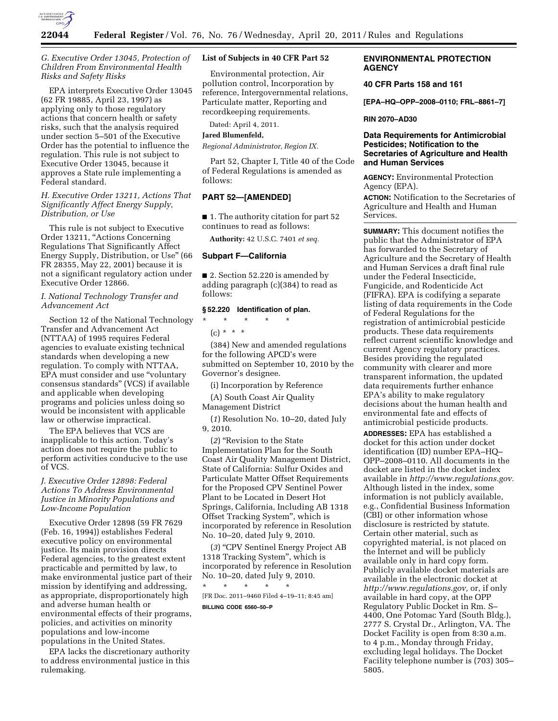

## *G. Executive Order 13045, Protection of Children From Environmental Health Risks and Safety Risks*

EPA interprets Executive Order 13045 (62 FR 19885, April 23, 1997) as applying only to those regulatory actions that concern health or safety risks, such that the analysis required under section 5–501 of the Executive Order has the potential to influence the regulation. This rule is not subject to Executive Order 13045, because it approves a State rule implementing a Federal standard.

### *H. Executive Order 13211, Actions That Significantly Affect Energy Supply, Distribution, or Use*

This rule is not subject to Executive Order 13211, ''Actions Concerning Regulations That Significantly Affect Energy Supply, Distribution, or Use'' (66 FR 28355, May 22, 2001) because it is not a significant regulatory action under Executive Order 12866.

# *I. National Technology Transfer and Advancement Act*

Section 12 of the National Technology Transfer and Advancement Act (NTTAA) of 1995 requires Federal agencies to evaluate existing technical standards when developing a new regulation. To comply with NTTAA, EPA must consider and use ''voluntary consensus standards'' (VCS) if available and applicable when developing programs and policies unless doing so would be inconsistent with applicable law or otherwise impractical.

The EPA believes that VCS are inapplicable to this action. Today's action does not require the public to perform activities conducive to the use of VCS.

## *J. Executive Order 12898: Federal Actions To Address Environmental Justice in Minority Populations and Low-Income Population*

Executive Order 12898 (59 FR 7629 (Feb. 16, 1994)) establishes Federal executive policy on environmental justice. Its main provision directs Federal agencies, to the greatest extent practicable and permitted by law, to make environmental justice part of their mission by identifying and addressing, as appropriate, disproportionately high and adverse human health or environmental effects of their programs, policies, and activities on minority populations and low-income populations in the United States.

EPA lacks the discretionary authority to address environmental justice in this rulemaking.

# **List of Subjects in 40 CFR Part 52**

Environmental protection, Air pollution control, Incorporation by reference, Intergovernmental relations, Particulate matter, Reporting and recordkeeping requirements.

Dated: April 4, 2011.

## **Jared Blumenfeld,**

*Regional Administrator, Region IX.* 

Part 52, Chapter I, Title 40 of the Code of Federal Regulations is amended as follows:

# **PART 52—[AMENDED]**

■ 1. The authority citation for part 52 continues to read as follows:

**Authority:** 42 U.S.C. 7401 *et seq.* 

#### **Subpart F—California**

■ 2. Section 52.220 is amended by adding paragraph (c)(384) to read as follows:

### **§ 52.220 Identification of plan.**

\* \* \* \* \*

 $(c) * * * *$ 

(384) New and amended regulations for the following APCD's were submitted on September 10, 2010 by the Governor's designee.

(i) Incorporation by Reference

(A) South Coast Air Quality Management District

(*1*) Resolution No. 10–20, dated July 9, 2010.

(*2*) ''Revision to the State Implementation Plan for the South Coast Air Quality Management District, State of California: Sulfur Oxides and Particulate Matter Offset Requirements for the Proposed CPV Sentinel Power Plant to be Located in Desert Hot Springs, California, Including AB 1318 Offset Tracking System'', which is incorporated by reference in Resolution No. 10–20, dated July 9, 2010.

(*3*) ''CPV Sentinel Energy Project AB 1318 Tracking System'', which is incorporated by reference in Resolution No. 10–20, dated July 9, 2010.

\* \* \* \* \* [FR Doc. 2011–9460 Filed 4–19–11; 8:45 am] **BILLING CODE 6560–50–P** 

## **ENVIRONMENTAL PROTECTION AGENCY**

## **40 CFR Parts 158 and 161**

**[EPA–HQ–OPP–2008–0110; FRL–8861–7]** 

#### **RIN 2070–AD30**

## **Data Requirements for Antimicrobial Pesticides; Notification to the Secretaries of Agriculture and Health and Human Services**

**AGENCY:** Environmental Protection Agency (EPA).

**ACTION:** Notification to the Secretaries of Agriculture and Health and Human Services.

**SUMMARY:** This document notifies the public that the Administrator of EPA has forwarded to the Secretary of Agriculture and the Secretary of Health and Human Services a draft final rule under the Federal Insecticide, Fungicide, and Rodenticide Act (FIFRA). EPA is codifying a separate listing of data requirements in the Code of Federal Regulations for the registration of antimicrobial pesticide products. These data requirements reflect current scientific knowledge and current Agency regulatory practices. Besides providing the regulated community with clearer and more transparent information, the updated data requirements further enhance EPA's ability to make regulatory decisions about the human health and environmental fate and effects of antimicrobial pesticide products.

**ADDRESSES:** EPA has established a docket for this action under docket identification (ID) number EPA–HQ– OPP–2008–0110. All documents in the docket are listed in the docket index available in *[http://www.regulations.gov.](http://www.regulations.gov)*  Although listed in the index, some information is not publicly available, e.g., Confidential Business Information (CBI) or other information whose disclosure is restricted by statute. Certain other material, such as copyrighted material, is not placed on the Internet and will be publicly available only in hard copy form. Publicly available docket materials are available in the electronic docket at *[http://www.regulations.gov,](http://www.regulations.gov)* or, if only available in hard copy, at the OPP Regulatory Public Docket in Rm. S– 4400, One Potomac Yard (South Bldg.), 2777 S. Crystal Dr., Arlington, VA. The Docket Facility is open from 8:30 a.m. to 4 p.m., Monday through Friday, excluding legal holidays. The Docket Facility telephone number is (703) 305– 5805.